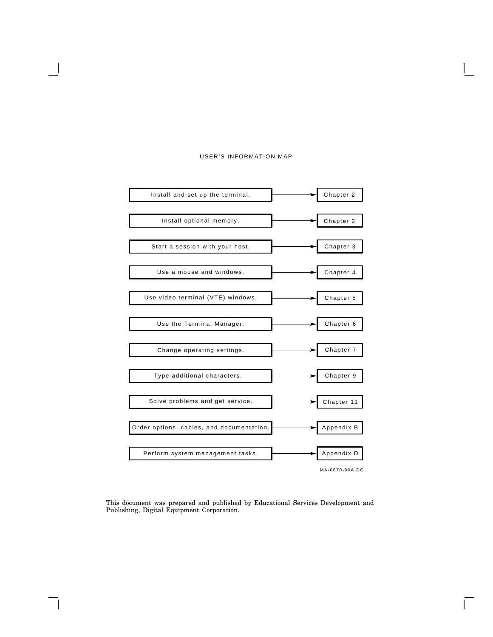#### USER'S INFORMATION MAP



This document was prepared and published by Educational Services Development and Publishing, Digital Equipment Corporation.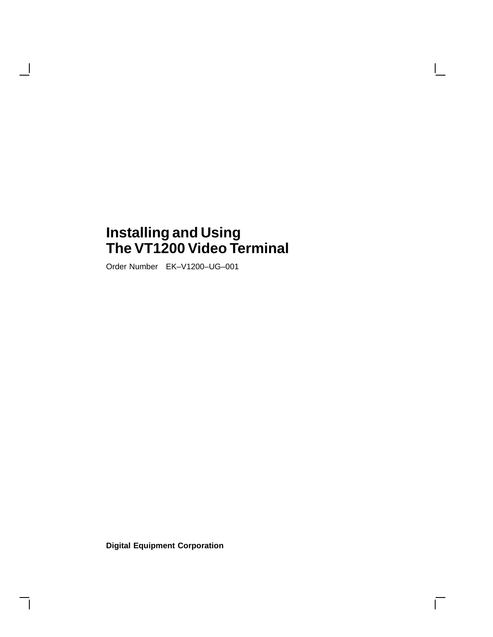# **Installing and Using The VT1200 Video Terminal**

Order Number EK–V1200–UG–001

 $\mathbf{I}$ 

**Digital Equipment Corporation**

 $\overline{\Gamma}$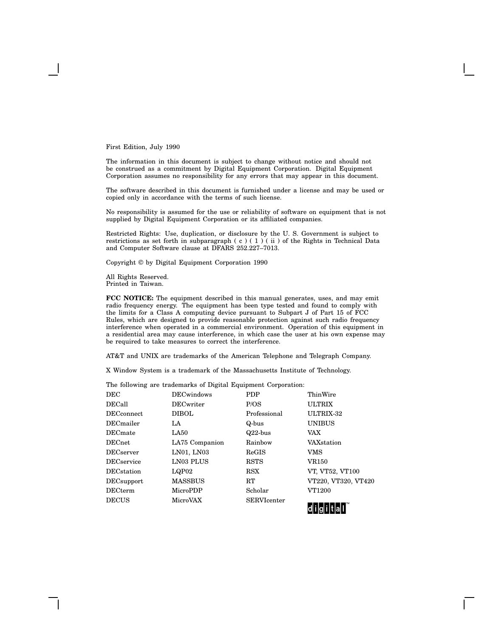First Edition, July 1990

The information in this document is subject to change without notice and should not be construed as a commitment by Digital Equipment Corporation. Digital Equipment Corporation assumes no responsibility for any errors that may appear in this document.

The software described in this document is furnished under a license and may be used or copied only in accordance with the terms of such license.

No responsibility is assumed for the use or reliability of software on equipment that is not supplied by Digital Equipment Corporation or its affiliated companies.

Restricted Rights: Use, duplication, or disclosure by the U. S. Government is subject to restrictions as set forth in subparagraph (c) (1) (ii) of the Rights in Technical Data and Computer Software clause at DFARS 252.227–7013.

Copyright © by Digital Equipment Corporation 1990

All Rights Reserved. Printed in Taiwan.

**FCC NOTICE:** The equipment described in this manual generates, uses, and may emit radio frequency energy. The equipment has been type tested and found to comply with the limits for a Class A computing device pursuant to Subpart J of Part 15 of FCC Rules, which are designed to provide reasonable protection against such radio frequency interference when operated in a commercial environment. Operation of this equipment in a residential area may cause interference, in which case the user at his own expense may be required to take measures to correct the interference.

AT&T and UNIX are trademarks of the American Telephone and Telegraph Company.

X Window System is a trademark of the Massachusetts Institute of Technology.

The following are trademarks of Digital Equipment Corporation:

| <b>DEC</b>         | <b>DECwindows</b> | <b>PDP</b>         | ThinWire            |
|--------------------|-------------------|--------------------|---------------------|
| <b>DECall</b>      | <b>DECwriter</b>  | P/OS               | <b>ULTRIX</b>       |
| <b>DECconnect</b>  | <b>DIBOL</b>      | Professional       | ULTRIX-32           |
| <b>DEC</b> mailer  | LA                | Q-bus              | <b>UNIBUS</b>       |
| <b>DEC</b> mate    | LA50              | $Q22$ -bus         | VAX                 |
| <b>DECnet</b>      | LA75 Companion    | Rainbow            | <b>VAX</b> station  |
| <b>DECserver</b>   | LN01, LN03        | <b>ReGIS</b>       | <b>VMS</b>          |
| <b>DECservice</b>  | LN03 PLUS         | <b>RSTS</b>        | <b>VR150</b>        |
| <b>DEC</b> station | LQP02             | <b>RSX</b>         | VT, VT52, VT100     |
| <b>DEC</b> support | <b>MASSBUS</b>    | <b>RT</b>          | VT220, VT320, VT420 |
| <b>DECterm</b>     | MicroPDP          | Scholar            | VT1200              |
| <b>DECUS</b>       | MicroVAX          | <b>SERVIcenter</b> | -------------       |

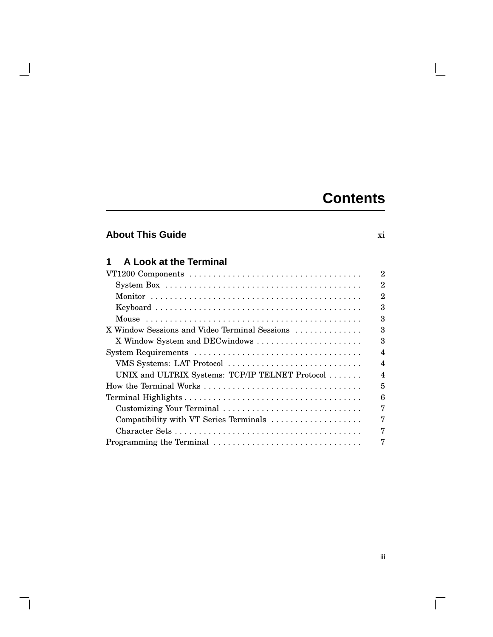# **Contents**

# **About This Guide** xi

 $\overline{\phantom{a}}$ 

| A Look at the Terminal                                                                                  |
|---------------------------------------------------------------------------------------------------------|
|                                                                                                         |
| System Box $\ldots \ldots \ldots \ldots \ldots \ldots \ldots \ldots \ldots \ldots \ldots \ldots \ldots$ |
|                                                                                                         |
|                                                                                                         |
|                                                                                                         |
| X Window Sessions and Video Terminal Sessions                                                           |
| X Window System and DECwindows                                                                          |
|                                                                                                         |
| VMS Systems: LAT Protocol                                                                               |
| UNIX and ULTRIX Systems: TCP/IP TELNET Protocol                                                         |
| How the Terminal Works                                                                                  |
|                                                                                                         |
| Customizing Your Terminal                                                                               |
| Compatibility with VT Series Terminals                                                                  |
|                                                                                                         |
| Programming the Terminal                                                                                |

 $\mathbf{L}$ 

 $\Gamma$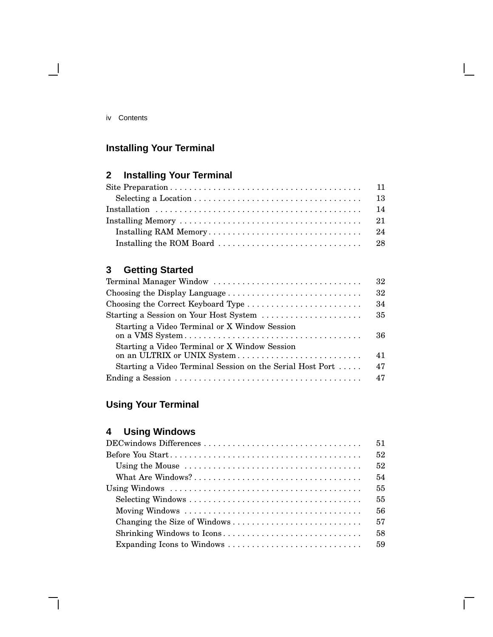### iv Contents

 $\overline{\phantom{0}}$ 

# **Installing Your Terminal**

# **2 Installing Your Terminal**

# **3 Getting Started**

| 32<br>Terminal Manager Window                                                      |  |
|------------------------------------------------------------------------------------|--|
| 32                                                                                 |  |
| 34<br>Choosing the Correct Keyboard Type                                           |  |
| 35<br>Starting a Session on Your Host System                                       |  |
| Starting a Video Terminal or X Window Session<br>36                                |  |
| Starting a Video Terminal or X Window Session<br>41<br>on an ULTRIX or UNIX System |  |
| 47<br>Starting a Video Terminal Session on the Serial Host Port                    |  |
| 47                                                                                 |  |

# **Using Your Terminal**

# **4 Using Windows**

|                                                                                                            | 51 |
|------------------------------------------------------------------------------------------------------------|----|
|                                                                                                            | 52 |
|                                                                                                            | 52 |
|                                                                                                            | 54 |
| Using Windows $\ldots \ldots \ldots \ldots \ldots \ldots \ldots \ldots \ldots \ldots \ldots \ldots \ldots$ | 55 |
|                                                                                                            | 55 |
|                                                                                                            | 56 |
|                                                                                                            | 57 |
|                                                                                                            | 58 |
|                                                                                                            | 59 |
|                                                                                                            |    |

 $\bar{\Gamma}$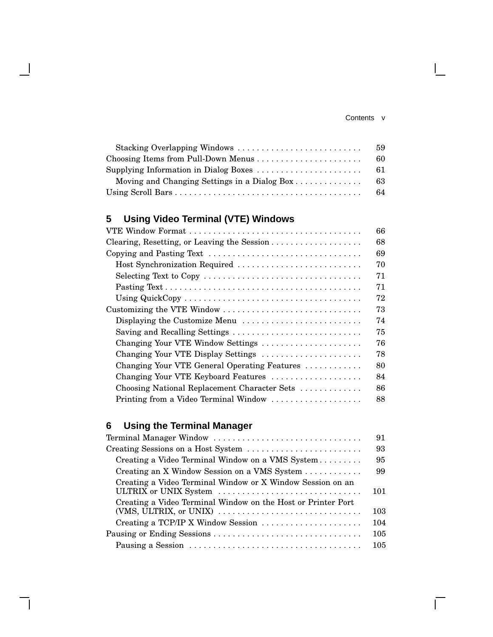### Contents v

 $\mathbf{I}$ 

 $\overline{\Gamma}$ 

| Stacking Overlapping Windows                 | 59  |
|----------------------------------------------|-----|
|                                              | -60 |
|                                              |     |
| Moving and Changing Settings in a Dialog Box | -63 |
|                                              |     |

# **5 Using Video Terminal (VTE) Windows**

 $\overline{\phantom{a}}$ 

|                                                                                              | 66 |
|----------------------------------------------------------------------------------------------|----|
| Clearing, Resetting, or Leaving the Session                                                  | 68 |
| Copying and Pasting Text $\dots\dots\dots\dots\dots\dots\dots\dots\dots\dots\dots\dots\dots$ | 69 |
| Host Synchronization Required                                                                | 70 |
|                                                                                              | 71 |
|                                                                                              | 71 |
|                                                                                              | 72 |
| Customizing the VTE Window $\dots\dots\dots\dots\dots\dots\dots\dots\dots\dots\dots$         | 73 |
| Displaying the Customize Menu                                                                | 74 |
| Saving and Recalling Settings                                                                | 75 |
| Changing Your VTE Window Settings                                                            | 76 |
| Changing Your VTE Display Settings                                                           | 78 |
| Changing Your VTE General Operating Features                                                 | 80 |
| Changing Your VTE Keyboard Features                                                          | 84 |
| Choosing National Replacement Character Sets                                                 | 86 |
| Printing from a Video Terminal Window                                                        | 88 |

# **6 Using the Terminal Manager**

| Terminal Manager Window                                                                | 91  |
|----------------------------------------------------------------------------------------|-----|
|                                                                                        | 93  |
| Creating a Video Terminal Window on a VMS System                                       | 95  |
| Creating an X Window Session on a VMS System                                           | 99  |
| Creating a Video Terminal Window or X Window Session on an<br>ULTRIX or UNIX System    | 101 |
| Creating a Video Terminal Window on the Host or Printer Port<br>(VMS, ULTRIX, or UNIX) | 103 |
| Creating a TCP/IP X Window Session                                                     | 104 |
|                                                                                        | 105 |
|                                                                                        | 105 |
|                                                                                        |     |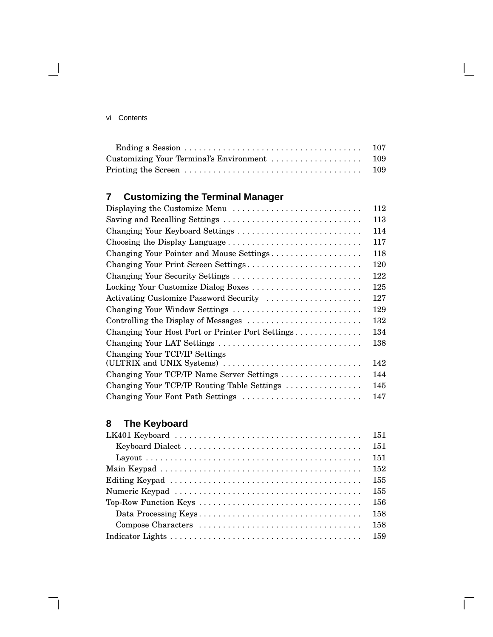### vi Contents

 $\overline{\phantom{0}}$ 

# **7 Customizing the Terminal Manager**

| Displaying the Customize Menu                              | 112 |
|------------------------------------------------------------|-----|
| Saving and Recalling Settings                              | 113 |
| Changing Your Keyboard Settings                            | 114 |
| Choosing the Display Language                              | 117 |
| Changing Your Pointer and Mouse Settings                   | 118 |
| Changing Your Print Screen Settings                        | 120 |
| Changing Your Security Settings                            | 122 |
| Locking Your Customize Dialog Boxes                        | 125 |
| Activating Customize Password Security                     | 127 |
| Changing Your Window Settings                              | 129 |
| Controlling the Display of Messages                        | 132 |
| Changing Your Host Port or Printer Port Settings           | 134 |
| Changing Your LAT Settings                                 | 138 |
| Changing Your TCP/IP Settings<br>(ULTRIX and UNIX Systems) | 142 |
| Changing Your TCP/IP Name Server Settings                  | 144 |
| Changing Your TCP/IP Routing Table Settings                | 145 |
| Changing Your Font Path Settings                           | 147 |

# **8 The Keyboard**

| LK401 Keyboard $\ldots \ldots \ldots \ldots \ldots \ldots \ldots \ldots \ldots \ldots \ldots \ldots \ldots$ | 151 |
|-------------------------------------------------------------------------------------------------------------|-----|
|                                                                                                             | 151 |
|                                                                                                             | 151 |
|                                                                                                             | 152 |
|                                                                                                             | 155 |
|                                                                                                             | 155 |
| Top-Row Function Keys $\dots \dots \dots \dots \dots \dots \dots \dots \dots \dots \dots \dots$             | 156 |
|                                                                                                             | 158 |
|                                                                                                             | 158 |
|                                                                                                             | 159 |
|                                                                                                             |     |

 $\bar{\Gamma}$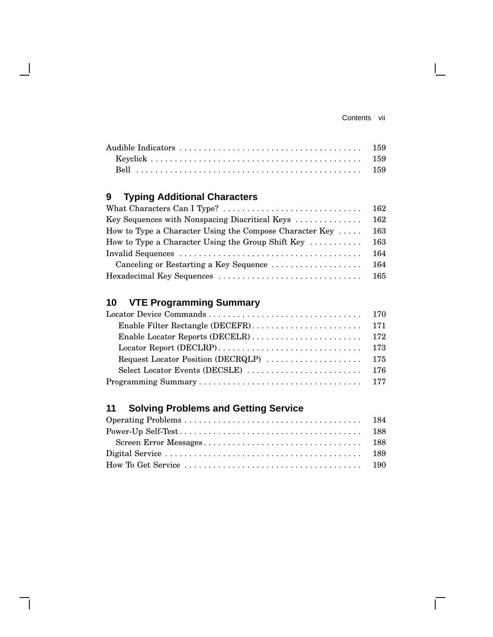$\overline{\Gamma}$ 

# **9 Typing Additional Characters**

| Key Sequences with Nonspacing Diacritical Keys                        | 162 |
|-----------------------------------------------------------------------|-----|
| How to Type a Character Using the Compose Character Key $\dots$       | 163 |
| How to Type a Character Using the Group Shift Key $\dots \dots \dots$ | 163 |
|                                                                       | 164 |
| Canceling or Restarting a Key Sequence                                | 164 |
|                                                                       |     |

# **10 VTE Programming Summary**

# **11 Solving Problems and Getting Service**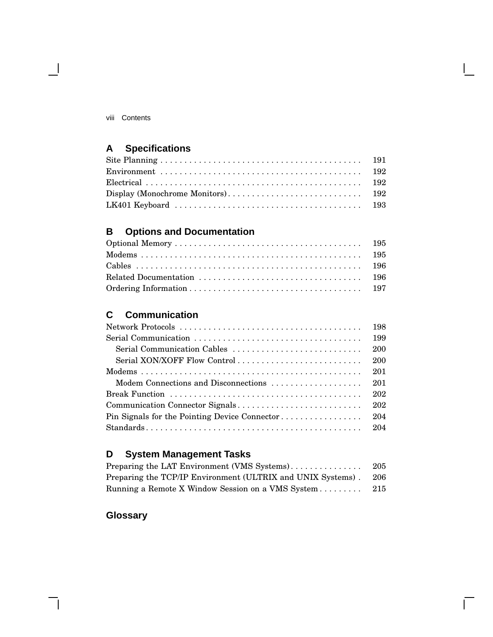viii Contents

 $\blacksquare$ 

# **A Specifications**

# **B Options and Documentation**

## **C Communication**

|                                               | 198 |
|-----------------------------------------------|-----|
|                                               | 199 |
| Serial Communication Cables                   | 200 |
| Serial XON/XOFF Flow Control                  | 200 |
|                                               | 201 |
| Modem Connections and Disconnections          | 201 |
|                                               | 202 |
| Communication Connector Signals               | 202 |
| Pin Signals for the Pointing Device Connector | 204 |
|                                               |     |
|                                               |     |

# **D System Management Tasks**

| Preparing the LAT Environment (VMS Systems)                 | 205 |
|-------------------------------------------------------------|-----|
| Preparing the TCP/IP Environment (ULTRIX and UNIX Systems). | 206 |
| Running a Remote X Window Session on a VMS System           | 215 |

 $\overline{\Box}$ 

# **Glossary**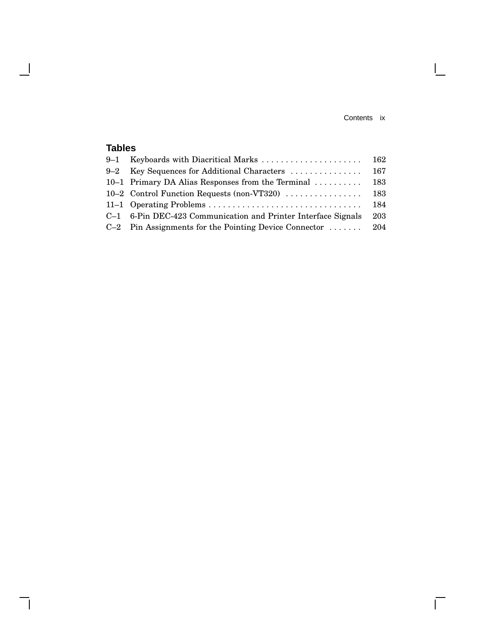Contents ix

 $\mathbf{L}$ 

 $\overline{\Gamma}$ 

# **Tables**

 $\overline{\phantom{a}}$ 

 $\overline{\phantom{a}}$ 

|         |                                                               | 162 |
|---------|---------------------------------------------------------------|-----|
| $9 - 2$ | Key Sequences for Additional Characters                       | 167 |
|         | 10–1 Primary DA Alias Responses from the Terminal             | 183 |
|         | 10–2 Control Function Requests (non-VT320)                    | 183 |
|         |                                                               | 184 |
|         | C-1 6-Pin DEC-423 Communication and Printer Interface Signals | 203 |
|         | $C-2$ Pin Assignments for the Pointing Device Connector  204  |     |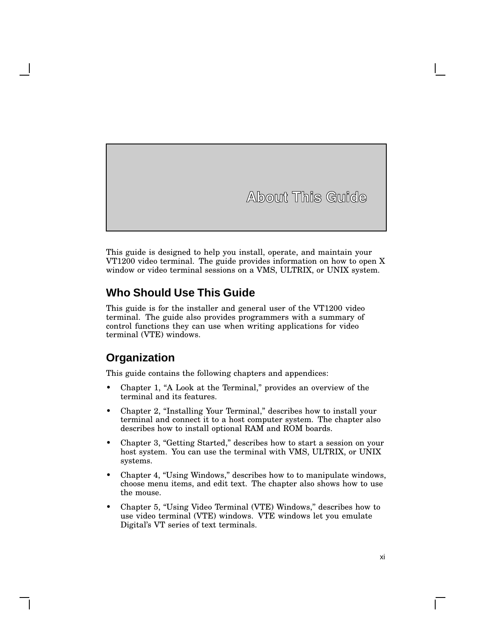**About This Guide**

This guide is designed to help you install, operate, and maintain your VT1200 video terminal. The guide provides information on how to open X window or video terminal sessions on a VMS, ULTRIX, or UNIX system.

### **Who Should Use This Guide**

This guide is for the installer and general user of the VT1200 video terminal. The guide also provides programmers with a summary of control functions they can use when writing applications for video terminal (VTE) windows.

## **Organization**

This guide contains the following chapters and appendices:

- Chapter 1, "A Look at the Terminal," provides an overview of the terminal and its features.
- Chapter 2, "Installing Your Terminal," describes how to install your terminal and connect it to a host computer system. The chapter also describes how to install optional RAM and ROM boards.
- Chapter 3, "Getting Started," describes how to start a session on your host system. You can use the terminal with VMS, ULTRIX, or UNIX systems.
- Chapter 4, "Using Windows," describes how to to manipulate windows, choose menu items, and edit text. The chapter also shows how to use the mouse.
- Chapter 5, "Using Video Terminal (VTE) Windows," describes how to use video terminal (VTE) windows. VTE windows let you emulate Digital's VT series of text terminals.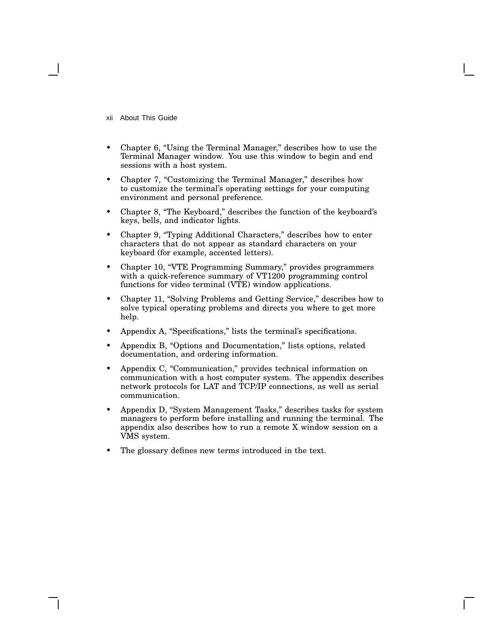xii About This Guide

- Chapter 6, "Using the Terminal Manager," describes how to use the Terminal Manager window. You use this window to begin and end sessions with a host system.
- Chapter 7, "Customizing the Terminal Manager," describes how to customize the terminal's operating settings for your computing environment and personal preference.
- Chapter 8, ''The Keyboard,'' describes the function of the keyboard's keys, bells, and indicator lights.
- Chapter 9, "Typing Additional Characters," describes how to enter characters that do not appear as standard characters on your keyboard (for example, accented letters).
- Chapter 10, "VTE Programming Summary," provides programmers with a quick-reference summary of VT1200 programming control functions for video terminal (VTE) window applications.
- Chapter 11, ''Solving Problems and Getting Service,'' describes how to solve typical operating problems and directs you where to get more help.
- Appendix A, "Specifications," lists the terminal's specifications.
- Appendix B, "Options and Documentation," lists options, related documentation, and ordering information.
- Appendix C, "Communication," provides technical information on communication with a host computer system. The appendix describes network protocols for LAT and TCP/IP connections, as well as serial communication.
- Appendix D, "System Management Tasks," describes tasks for system managers to perform before installing and running the terminal. The appendix also describes how to run a remote X window session on a VMS system.
- The glossary defines new terms introduced in the text.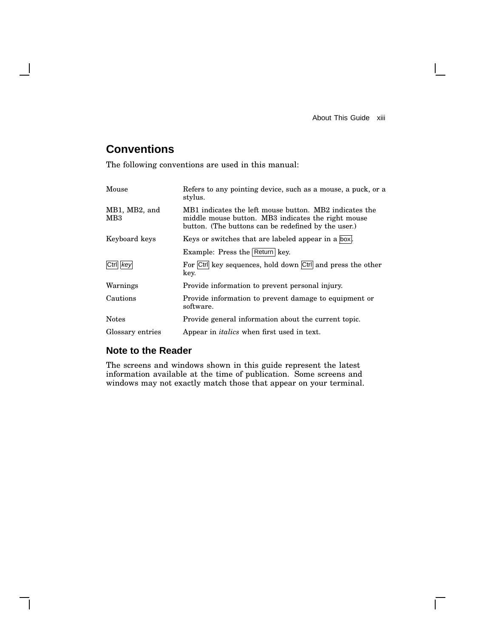About This Guide xiii

 $\overline{\Gamma}$ 

# **Conventions**

 $\mathbf l$ 

The following conventions are used in this manual:

| Mouse                            | Refers to any pointing device, such as a mouse, a puck, or a<br>stylus.                                                                                             |  |
|----------------------------------|---------------------------------------------------------------------------------------------------------------------------------------------------------------------|--|
| MB1, MB2, and<br>MB <sub>3</sub> | MB1 indicates the left mouse button. MB2 indicates the<br>middle mouse button. MB3 indicates the right mouse<br>button. (The buttons can be redefined by the user.) |  |
| Keyboard keys                    | Keys or switches that are labeled appear in a box.                                                                                                                  |  |
|                                  | Example: Press the Return key.                                                                                                                                      |  |
| Ctrl key                         | For Ctrl key sequences, hold down Ctrl and press the other<br>key.                                                                                                  |  |
| Warnings                         | Provide information to prevent personal injury.                                                                                                                     |  |
| Cautions                         | Provide information to prevent damage to equipment or<br>software.                                                                                                  |  |
| <b>Notes</b>                     | Provide general information about the current topic.                                                                                                                |  |
| Glossary entries                 | Appear in <i>italics</i> when first used in text.                                                                                                                   |  |

### **Note to the Reader**

The screens and windows shown in this guide represent the latest information available at the time of publication. Some screens and windows may not exactly match those that appear on your terminal.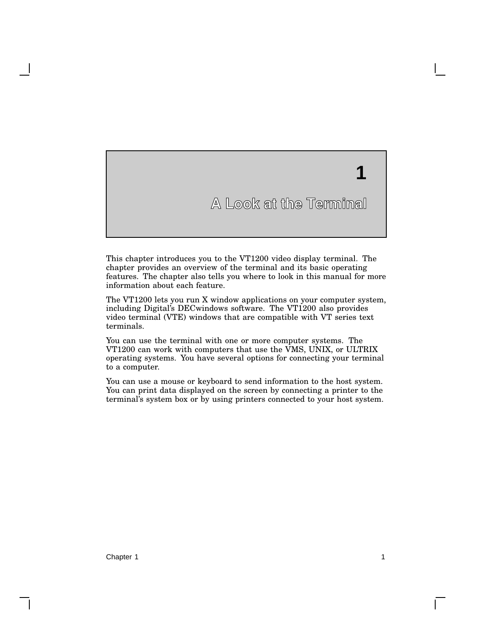# **1**

# **A Look at the Terminal**

This chapter introduces you to the VT1200 video display terminal. The chapter provides an overview of the terminal and its basic operating features. The chapter also tells you where to look in this manual for more information about each feature.

The VT1200 lets you run X window applications on your computer system, including Digital's DECwindows software. The VT1200 also provides video terminal (VTE) windows that are compatible with VT series text terminals.

You can use the terminal with one or more computer systems. The VT1200 can work with computers that use the VMS, UNIX, or ULTRIX operating systems. You have several options for connecting your terminal to a computer.

You can use a mouse or keyboard to send information to the host system. You can print data displayed on the screen by connecting a printer to the terminal's system box or by using printers connected to your host system.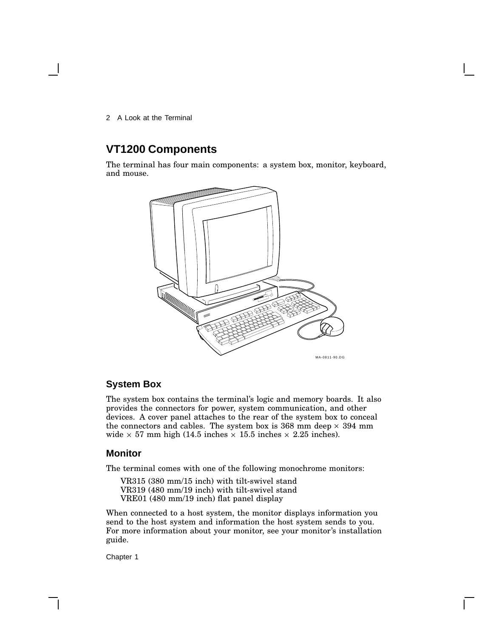## **VT1200 Components**

The terminal has four main components: a system box, monitor, keyboard, and mouse.



### **System Box**

The system box contains the terminal's logic and memory boards. It also provides the connectors for power, system communication, and other devices. A cover panel attaches to the rear of the system box to conceal the connectors and cables. The system box is  $368$  mm deep  $\times$   $394$  mm wide  $\times$  57 mm high (14.5 inches  $\times$  15.5 inches  $\times$  2.25 inches).

### **Monitor**

The terminal comes with one of the following monochrome monitors:

VR315 (380 mm/15 inch) with tilt-swivel stand VR319 (480 mm/19 inch) with tilt-swivel stand VRE01 (480 mm/19 inch) flat panel display

When connected to a host system, the monitor displays information you send to the host system and information the host system sends to you. For more information about your monitor, see your monitor's installation guide.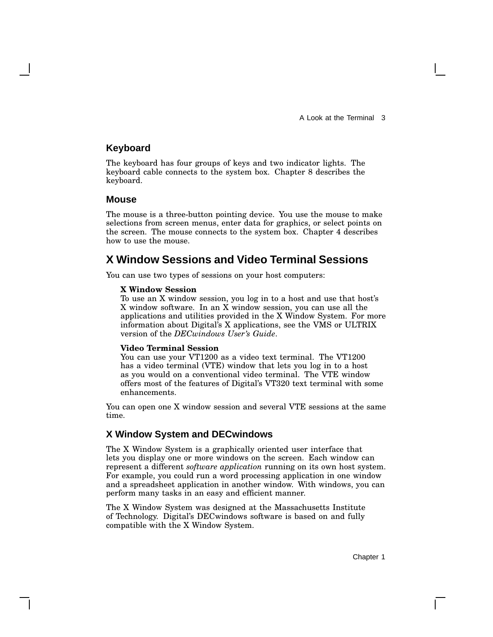### **Keyboard**

The keyboard has four groups of keys and two indicator lights. The keyboard cable connects to the system box. Chapter 8 describes the keyboard.

### **Mouse**

The mouse is a three-button pointing device. You use the mouse to make selections from screen menus, enter data for graphics, or select points on the screen. The mouse connects to the system box. Chapter 4 describes how to use the mouse.

## **X Window Sessions and Video Terminal Sessions**

You can use two types of sessions on your host computers:

#### **X Window Session**

To use an X window session, you log in to a host and use that host's X window software. In an X window session, you can use all the applications and utilities provided in the X Window System. For more information about Digital's X applications, see the VMS or ULTRIX version of the *DECwindows User's Guide*.

#### **Video Terminal Session**

You can use your VT1200 as a video text terminal. The VT1200 has a video terminal (VTE) window that lets you log in to a host as you would on a conventional video terminal. The VTE window offers most of the features of Digital's VT320 text terminal with some enhancements.

You can open one X window session and several VTE sessions at the same time.

### **X Window System and DECwindows**

The X Window System is a graphically oriented user interface that lets you display one or more windows on the screen. Each window can represent a different *software application* running on its own host system. For example, you could run a word processing application in one window and a spreadsheet application in another window. With windows, you can perform many tasks in an easy and efficient manner.

The X Window System was designed at the Massachusetts Institute of Technology. Digital's DECwindows software is based on and fully compatible with the X Window System.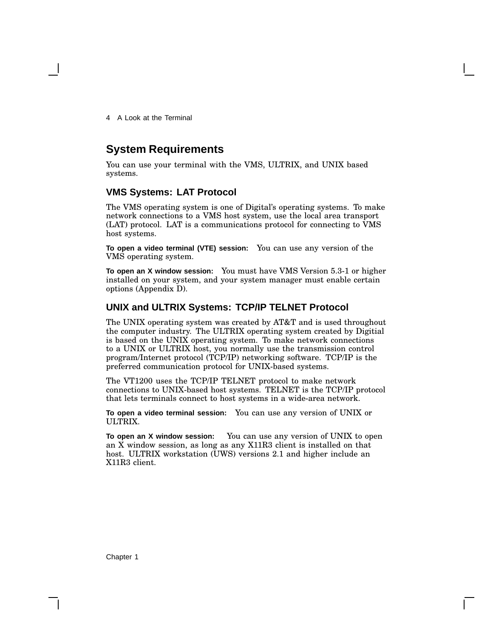### **System Requirements**

You can use your terminal with the VMS, ULTRIX, and UNIX based systems.

### **VMS Systems: LAT Protocol**

The VMS operating system is one of Digital's operating systems. To make network connections to a VMS host system, use the local area transport (LAT) protocol. LAT is a communications protocol for connecting to VMS host systems.

**To open a video terminal (VTE) session:** You can use any version of the VMS operating system.

**To open an X window session:** You must have VMS Version 5.3-1 or higher installed on your system, and your system manager must enable certain options (Appendix D).

### **UNIX and ULTRIX Systems: TCP/IP TELNET Protocol**

The UNIX operating system was created by AT&T and is used throughout the computer industry. The ULTRIX operating system created by Digitial is based on the UNIX operating system. To make network connections to a UNIX or ULTRIX host, you normally use the transmission control program/Internet protocol (TCP/IP) networking software. TCP/IP is the preferred communication protocol for UNIX-based systems.

The VT1200 uses the TCP/IP TELNET protocol to make network connections to UNIX-based host systems. TELNET is the TCP/IP protocol that lets terminals connect to host systems in a wide-area network.

**To open a video terminal session:** You can use any version of UNIX or ULTRIX.

**To open an X window session:** You can use any version of UNIX to open an X window session, as long as any X11R3 client is installed on that host. ULTRIX workstation (UWS) versions 2.1 and higher include an X11R3 client.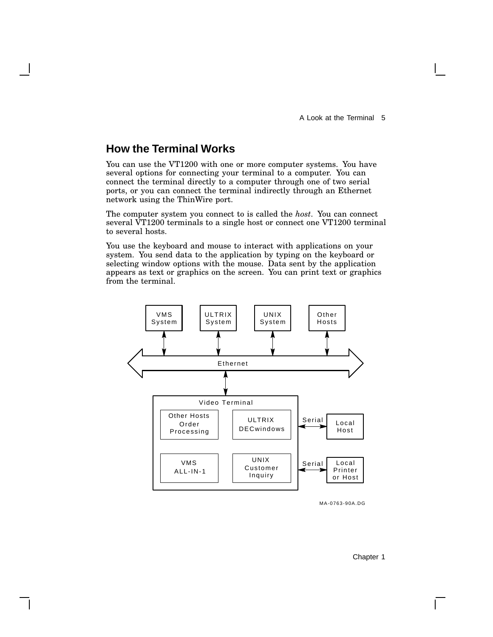# **How the Terminal Works**

You can use the VT1200 with one or more computer systems. You have several options for connecting your terminal to a computer. You can connect the terminal directly to a computer through one of two serial ports, or you can connect the terminal indirectly through an Ethernet network using the ThinWire port.

The computer system you connect to is called the *host*. You can connect several VT1200 terminals to a single host or connect one VT1200 terminal to several hosts.

You use the keyboard and mouse to interact with applications on your system. You send data to the application by typing on the keyboard or selecting window options with the mouse. Data sent by the application appears as text or graphics on the screen. You can print text or graphics from the terminal.



MA-0763-90A.DG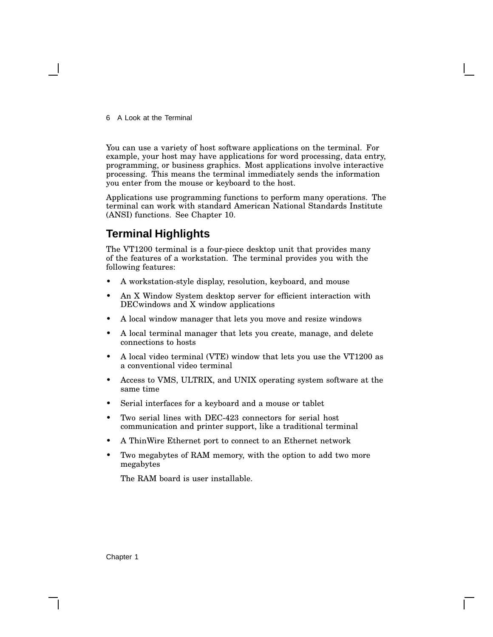You can use a variety of host software applications on the terminal. For example, your host may have applications for word processing, data entry, programming, or business graphics. Most applications involve interactive processing. This means the terminal immediately sends the information you enter from the mouse or keyboard to the host.

Applications use programming functions to perform many operations. The terminal can work with standard American National Standards Institute (ANSI) functions. See Chapter 10.

## **Terminal Highlights**

The VT1200 terminal is a four-piece desktop unit that provides many of the features of a workstation. The terminal provides you with the following features:

- A workstation-style display, resolution, keyboard, and mouse
- An X Window System desktop server for efficient interaction with DECwindows and X window applications
- A local window manager that lets you move and resize windows
- A local terminal manager that lets you create, manage, and delete connections to hosts
- A local video terminal (VTE) window that lets you use the VT1200 as a conventional video terminal
- Access to VMS, ULTRIX, and UNIX operating system software at the same time
- Serial interfaces for a keyboard and a mouse or tablet
- Two serial lines with DEC-423 connectors for serial host communication and printer support, like a traditional terminal
- A ThinWire Ethernet port to connect to an Ethernet network
- Two megabytes of RAM memory, with the option to add two more megabytes

The RAM board is user installable.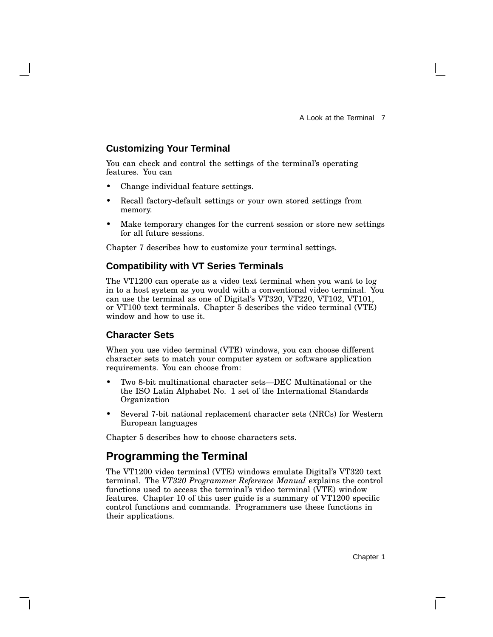### **Customizing Your Terminal**

You can check and control the settings of the terminal's operating features. You can

- Change individual feature settings.
- Recall factory-default settings or your own stored settings from memory.
- Make temporary changes for the current session or store new settings for all future sessions.

Chapter 7 describes how to customize your terminal settings.

### **Compatibility with VT Series Terminals**

The VT1200 can operate as a video text terminal when you want to log in to a host system as you would with a conventional video terminal. You can use the terminal as one of Digital's VT320, VT220, VT102, VT101, or VT100 text terminals. Chapter 5 describes the video terminal (VTE) window and how to use it.

### **Character Sets**

When you use video terminal (VTE) windows, you can choose different character sets to match your computer system or software application requirements. You can choose from:

- Two 8-bit multinational character sets—DEC Multinational or the the ISO Latin Alphabet No. 1 set of the International Standards Organization
- Several 7-bit national replacement character sets (NRCs) for Western European languages

Chapter 5 describes how to choose characters sets.

### **Programming the Terminal**

The VT1200 video terminal (VTE) windows emulate Digital's VT320 text terminal. The *VT320 Programmer Reference Manual* explains the control functions used to access the terminal's video terminal (VTE) window features. Chapter 10 of this user guide is a summary of VT1200 specific control functions and commands. Programmers use these functions in their applications.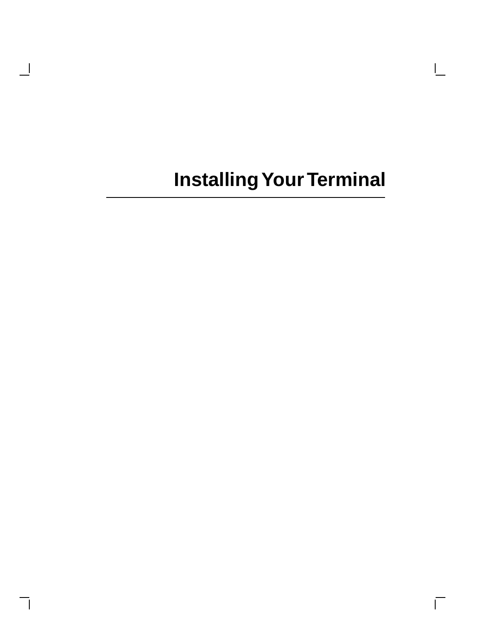$\mathbf{L}$ 

 $\overline{\Gamma}$ 

 $\overline{\phantom{a}}$ 

 $\overline{\phantom{a}}$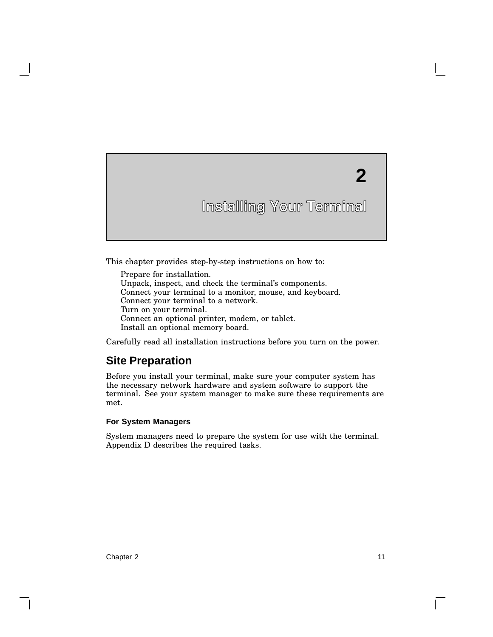# **2**

# **Installing Your Terminal**

This chapter provides step-by-step instructions on how to:

Prepare for installation. Unpack, inspect, and check the terminal's components. Connect your terminal to a monitor, mouse, and keyboard. Connect your terminal to a network. Turn on your terminal. Connect an optional printer, modem, or tablet. Install an optional memory board.

Carefully read all installation instructions before you turn on the power.

## **Site Preparation**

Before you install your terminal, make sure your computer system has the necessary network hardware and system software to support the terminal. See your system manager to make sure these requirements are met.

#### **For System Managers**

System managers need to prepare the system for use with the terminal. Appendix D describes the required tasks.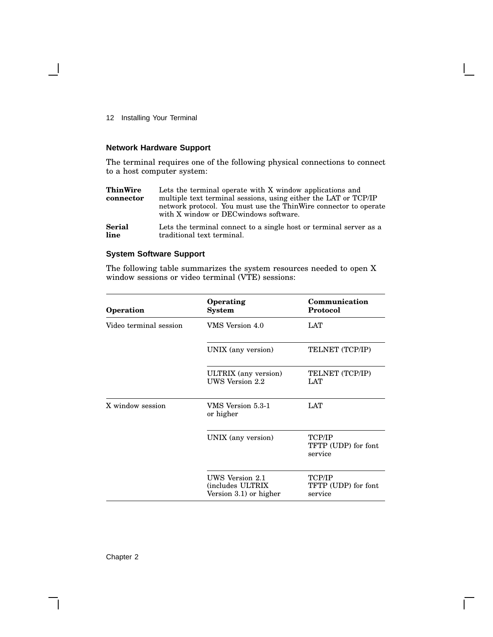### **Network Hardware Support**

The terminal requires one of the following physical connections to connect to a host computer system:

| <b>ThinWire</b><br>connector | Lets the terminal operate with X window applications and<br>multiple text terminal sessions, using either the LAT or TCP/IP<br>network protocol. You must use the ThinWire connector to operate<br>with X window or DEC windows software. |
|------------------------------|-------------------------------------------------------------------------------------------------------------------------------------------------------------------------------------------------------------------------------------------|
| <b>Serial</b>                | Lets the terminal connect to a single host or terminal server as a                                                                                                                                                                        |
| line                         | traditional text terminal.                                                                                                                                                                                                                |

### **System Software Support**

The following table summarizes the system resources needed to open X window sessions or video terminal (VTE) sessions:

| Operation              | Operating<br>System                                           | Communication<br>Protocol                |
|------------------------|---------------------------------------------------------------|------------------------------------------|
| Video terminal session | VMS Version 4.0                                               | <b>LAT</b>                               |
|                        | UNIX (any version)                                            | TELNET (TCP/IP)                          |
|                        | ULTRIX (any version)<br>UWS Version 2.2                       | TELNET (TCP/IP)<br>LAT                   |
| X window session       | VMS Version 5.3-1<br>or higher                                | LAT                                      |
|                        | UNIX (any version)                                            | TCP/IP<br>TFTP (UDP) for font<br>service |
|                        | UWS Version 2.1<br>(includes ULTRIX<br>Version 3.1) or higher | TCP/IP<br>TFTP (UDP) for font<br>service |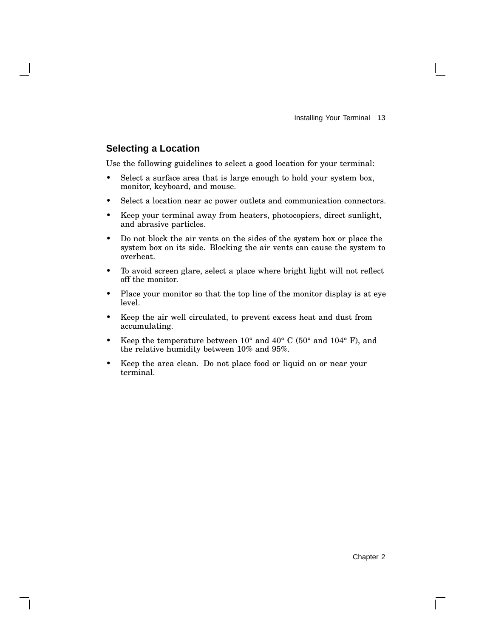### **Selecting a Location**

Use the following guidelines to select a good location for your terminal:

- Select a surface area that is large enough to hold your system box, monitor, keyboard, and mouse.
- Select a location near ac power outlets and communication connectors.
- Keep your terminal away from heaters, photocopiers, direct sunlight, and abrasive particles.
- Do not block the air vents on the sides of the system box or place the system box on its side. Blocking the air vents can cause the system to overheat.
- To avoid screen glare, select a place where bright light will not reflect off the monitor.
- Place your monitor so that the top line of the monitor display is at eye level.
- Keep the air well circulated, to prevent excess heat and dust from accumulating.
- Keep the temperature between  $10^{\circ}$  and  $40^{\circ}$  C (50° and  $104^{\circ}$  F), and the relative humidity between 10% and 95%.
- Keep the area clean. Do not place food or liquid on or near your terminal.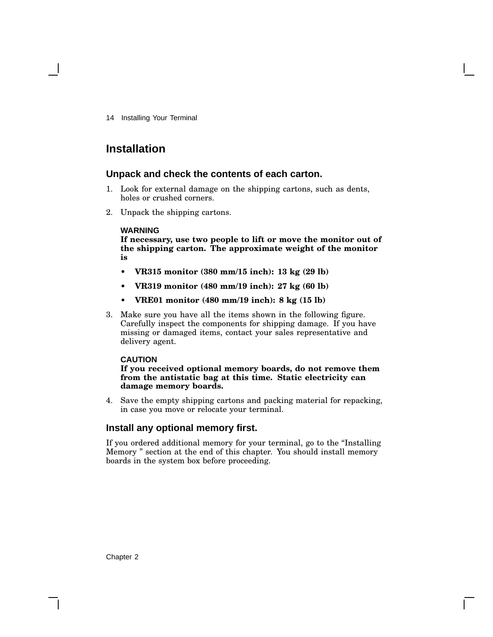### **Installation**

### **Unpack and check the contents of each carton.**

- 1. Look for external damage on the shipping cartons, such as dents, holes or crushed corners.
- 2. Unpack the shipping cartons.

### **WARNING**

**If necessary, use two people to lift or move the monitor out of the shipping carton. The approximate weight of the monitor is**

- **• VR315 monitor (380 mm/15 inch): 13 kg (29 lb)**
- **• VR319 monitor (480 mm/19 inch): 27 kg (60 lb)**
- **• VRE01 monitor (480 mm/19 inch): 8 kg (15 lb)**
- 3. Make sure you have all the items shown in the following figure. Carefully inspect the components for shipping damage. If you have missing or damaged items, contact your sales representative and delivery agent.

### **CAUTION**

**If you received optional memory boards, do not remove them from the antistatic bag at this time. Static electricity can damage memory boards.**

4. Save the empty shipping cartons and packing material for repacking, in case you move or relocate your terminal.

### **Install any optional memory first.**

If you ordered additional memory for your terminal, go to the ''Installing Memory '' section at the end of this chapter. You should install memory boards in the system box before proceeding.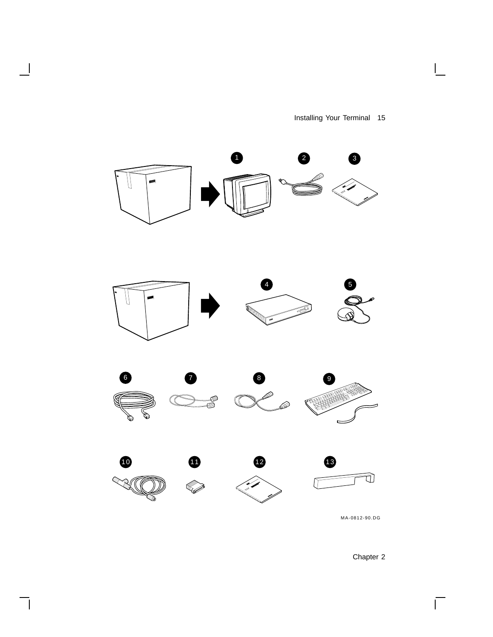Installing Your Terminal 15

 $\overline{\mathbb{L}}$ 



 $\overline{\phantom{a}}$ 

ヿ

Chapter 2

 $\overline{\Gamma}$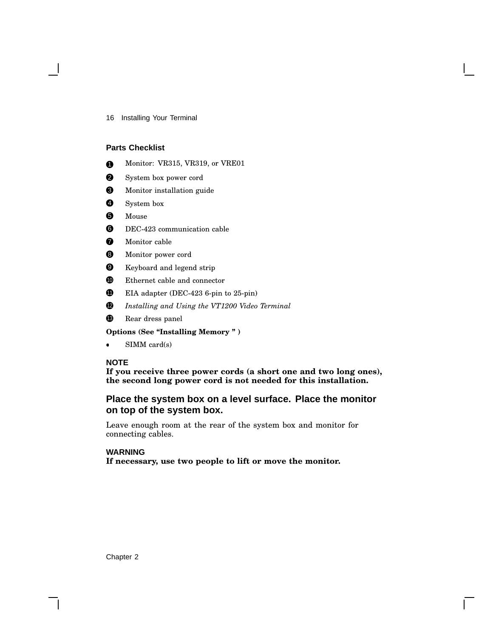### **Parts Checklist**

- **1** Monitor: VR315, VR319, or VRE01
- **2** System box power cord
- <sup>3</sup> Monitor installation guide
- 4 System box
- **6** Mouse
- **6** DEC-423 communication cable
- **7** Monitor cable
- **8** Monitor power cord
- 9 Keyboard and legend strip
- **10** Ethernet cable and connector
- $\bullet$  EIA adapter (DEC-423 6-pin to 25-pin)
- <sup>12</sup> *Installing and Using the VT1200 Video Terminal*
- <sup>13</sup> Rear dress panel

**Options (See ''Installing Memory '' )**

• SIMM card(s)

### **NOTE**

**If you receive three power cords (a short one and two long ones), the second long power cord is not needed for this installation.**

### **Place the system box on a level surface. Place the monitor on top of the system box.**

Leave enough room at the rear of the system box and monitor for connecting cables.

### **WARNING**

**If necessary, use two people to lift or move the monitor.**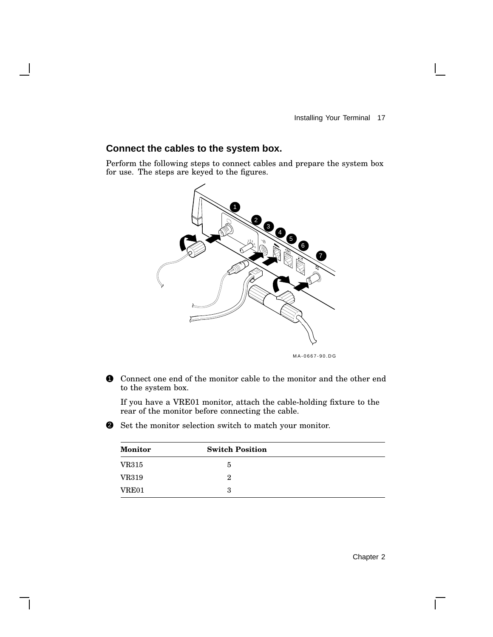### **Connect the cables to the system box.**

Perform the following steps to connect cables and prepare the system box for use. The steps are keyed to the figures.



MA-0667-90.DG

1 Connect one end of the monitor cable to the monitor and the other end to the system box.

If you have a VRE01 monitor, attach the cable-holding fixture to the rear of the monitor before connecting the cable.

2 Set the monitor selection switch to match your monitor.

| <b>Monitor</b> | <b>Switch Position</b> |  |
|----------------|------------------------|--|
| <b>VR315</b>   | 5                      |  |
| <b>VR319</b>   | 2                      |  |
| VRE01          | 3                      |  |

 $\mathbf{I}$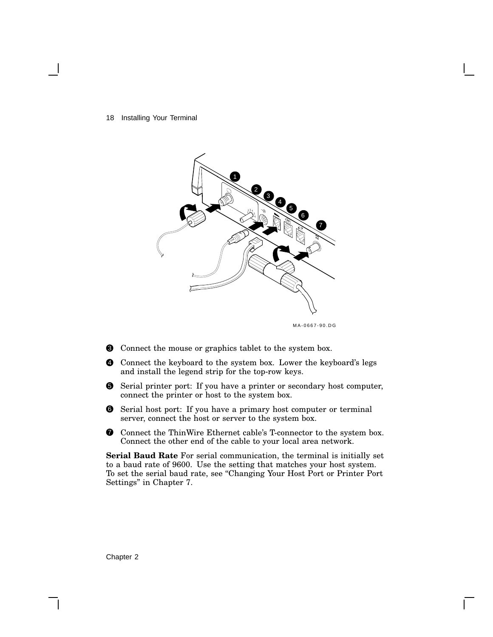18 Installing Your Terminal



MA-0667-90.DG

- 3 Connect the mouse or graphics tablet to the system box.
- 4 Connect the keyboard to the system box. Lower the keyboard's legs and install the legend strip for the top-row keys.
- 5 Serial printer port: If you have a printer or secondary host computer, connect the printer or host to the system box.
- 6 Serial host port: If you have a primary host computer or terminal server, connect the host or server to the system box.
- $\bullet$  Connect the ThinWire Ethernet cable's T-connector to the system box. Connect the other end of the cable to your local area network.

**Serial Baud Rate** For serial communication, the terminal is initially set to a baud rate of 9600. Use the setting that matches your host system. To set the serial baud rate, see ''Changing Your Host Port or Printer Port Settings'' in Chapter 7.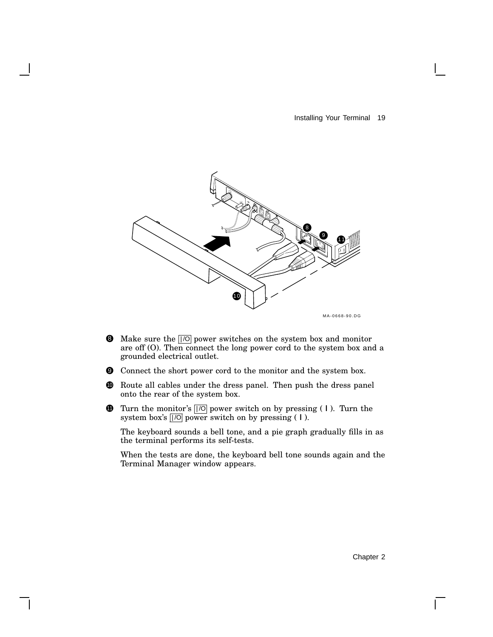

- $\bullet$  Make sure the  $\sqrt{10}$  power switches on the system box and monitor are off (O). Then connect the long power cord to the system box and a grounded electrical outlet.
- 9 Connect the short power cord to the monitor and the system box.
- **10** Route all cables under the dress panel. Then push the dress panel onto the rear of the system box.
- **11** Turn the monitor's  $\sqrt{|O|}$  power switch on by pressing (1). Turn the system box's  $\overline{|}$  /O power switch on by pressing (1).

The keyboard sounds a bell tone, and a pie graph gradually fills in as the terminal performs its self-tests.

When the tests are done, the keyboard bell tone sounds again and the Terminal Manager window appears.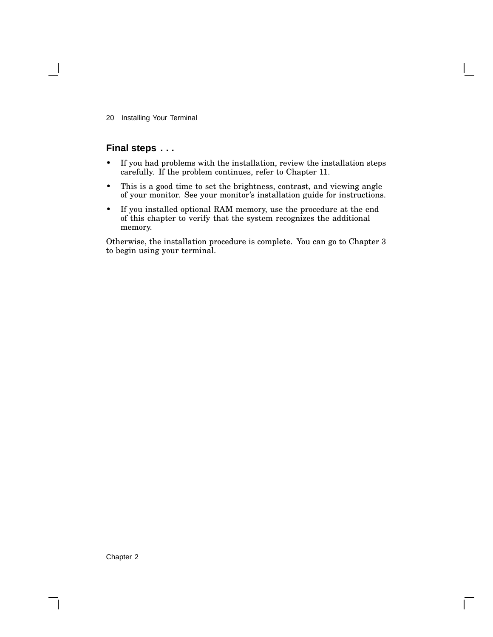### **Final steps . . .**

- If you had problems with the installation, review the installation steps carefully. If the problem continues, refer to Chapter 11.
- This is a good time to set the brightness, contrast, and viewing angle of your monitor. See your monitor's installation guide for instructions.
- If you installed optional RAM memory, use the procedure at the end of this chapter to verify that the system recognizes the additional memory.

Otherwise, the installation procedure is complete. You can go to Chapter 3 to begin using your terminal.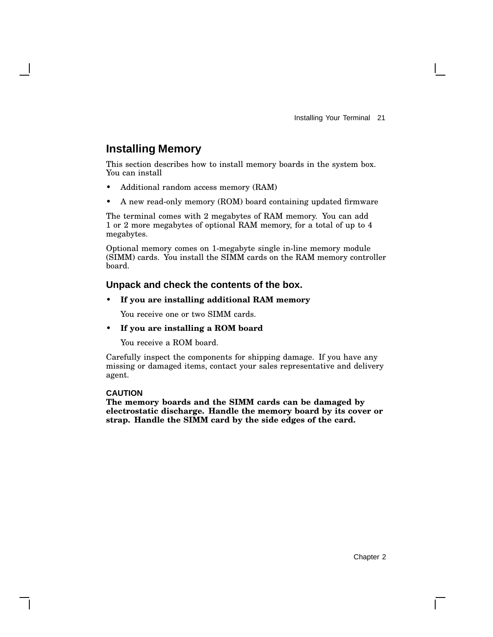## **Installing Memory**

This section describes how to install memory boards in the system box. You can install

- Additional random access memory (RAM)
- A new read-only memory (ROM) board containing updated firmware

The terminal comes with 2 megabytes of RAM memory. You can add 1 or 2 more megabytes of optional RAM memory, for a total of up to 4 megabytes.

Optional memory comes on 1-megabyte single in-line memory module (SIMM) cards. You install the SIMM cards on the RAM memory controller board.

### **Unpack and check the contents of the box.**

### • **If you are installing additional RAM memory**

You receive one or two SIMM cards.

### • **If you are installing a ROM board**

You receive a ROM board.

Carefully inspect the components for shipping damage. If you have any missing or damaged items, contact your sales representative and delivery agent.

### **CAUTION**

**The memory boards and the SIMM cards can be damaged by electrostatic discharge. Handle the memory board by its cover or strap. Handle the SIMM card by the side edges of the card.**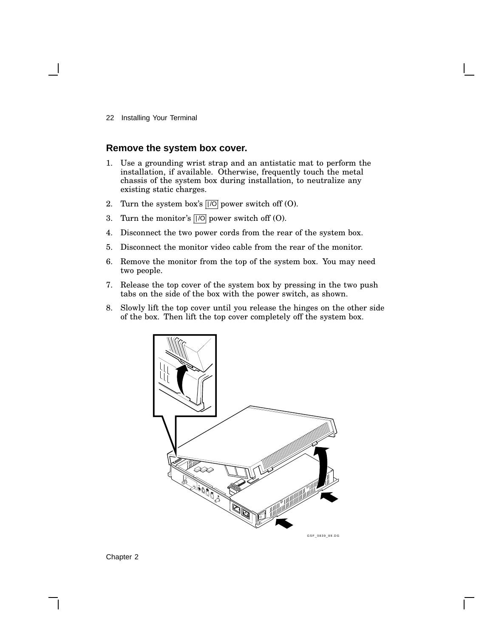### **Remove the system box cover.**

- 1. Use a grounding wrist strap and an antistatic mat to perform the installation, if available. Otherwise, frequently touch the metal chassis of the system box during installation, to neutralize any existing static charges.
- 2. Turn the system box's  $\overline{||\circ|}$  power switch off (O).
- 3. Turn the monitor's  $\overline{|||}$  power switch off (O).
- 4. Disconnect the two power cords from the rear of the system box.
- 5. Disconnect the monitor video cable from the rear of the monitor.
- 6. Remove the monitor from the top of the system box. You may need two people.
- 7. Release the top cover of the system box by pressing in the two push tabs on the side of the box with the power switch, as shown.
- 8. Slowly lift the top cover until you release the hinges on the other side of the box. Then lift the top cover completely off the system box.



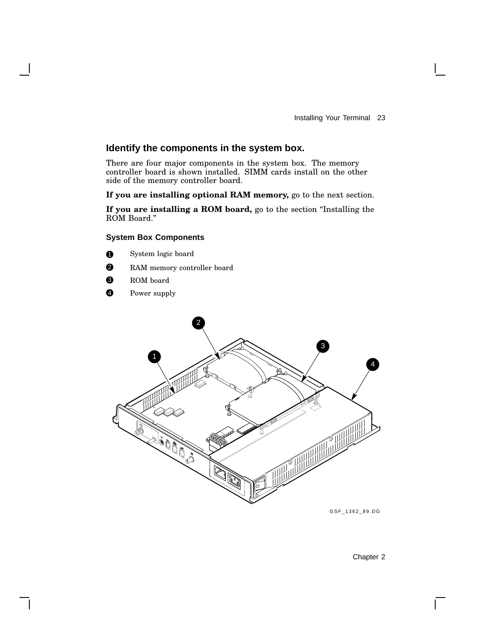### **Identify the components in the system box.**

There are four major components in the system box. The memory controller board is shown installed. SIMM cards install on the other side of the memory controller board.

**If you are installing optional RAM memory,** go to the next section.

**If you are installing a ROM board,** go to the section ''Installing the ROM Board.''

### **System Box Components**

- **1** System logic board
- **2** RAM memory controller board
- <sup>3</sup> ROM board
- **4** Power supply



GSF\_1362\_89.DG

Chapter 2

 $\mathbf{I}$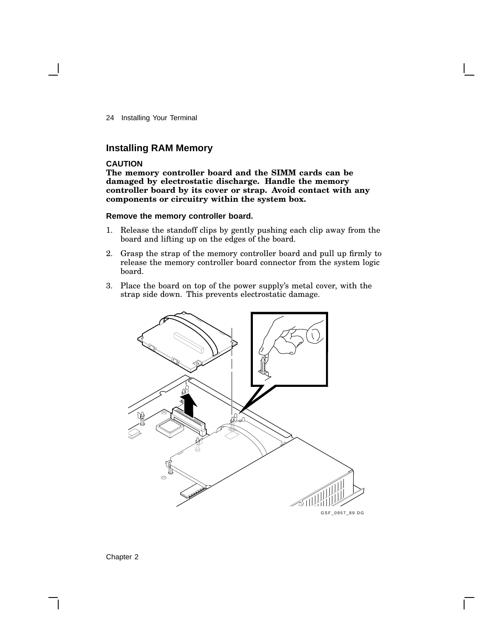### **Installing RAM Memory**

### **CAUTION**

**The memory controller board and the SIMM cards can be damaged by electrostatic discharge. Handle the memory controller board by its cover or strap. Avoid contact with any components or circuitry within the system box.**

### **Remove the memory controller board.**

- 1. Release the standoff clips by gently pushing each clip away from the board and lifting up on the edges of the board.
- 2. Grasp the strap of the memory controller board and pull up firmly to release the memory controller board connector from the system logic board.
- 3. Place the board on top of the power supply's metal cover, with the strap side down. This prevents electrostatic damage.

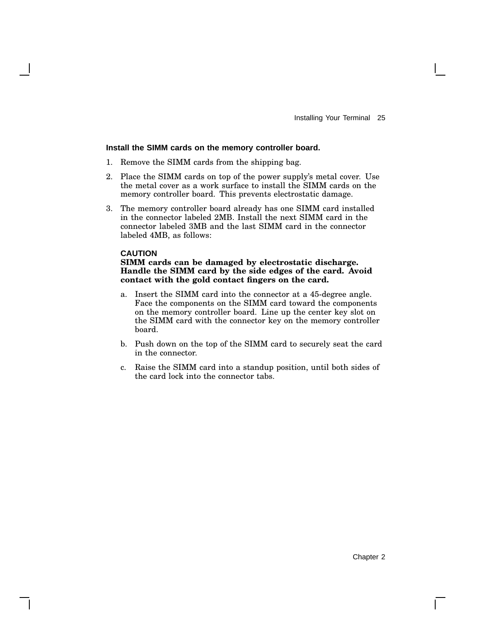### **Install the SIMM cards on the memory controller board.**

- 1. Remove the SIMM cards from the shipping bag.
- 2. Place the SIMM cards on top of the power supply's metal cover. Use the metal cover as a work surface to install the SIMM cards on the memory controller board. This prevents electrostatic damage.
- 3. The memory controller board already has one SIMM card installed in the connector labeled 2MB. Install the next SIMM card in the connector labeled 3MB and the last SIMM card in the connector labeled 4MB, as follows:

#### **CAUTION**

### **SIMM cards can be damaged by electrostatic discharge. Handle the SIMM card by the side edges of the card. Avoid contact with the gold contact fingers on the card.**

- a. Insert the SIMM card into the connector at a 45-degree angle. Face the components on the SIMM card toward the components on the memory controller board. Line up the center key slot on the SIMM card with the connector key on the memory controller board.
- b. Push down on the top of the SIMM card to securely seat the card in the connector.
- c. Raise the SIMM card into a standup position, until both sides of the card lock into the connector tabs.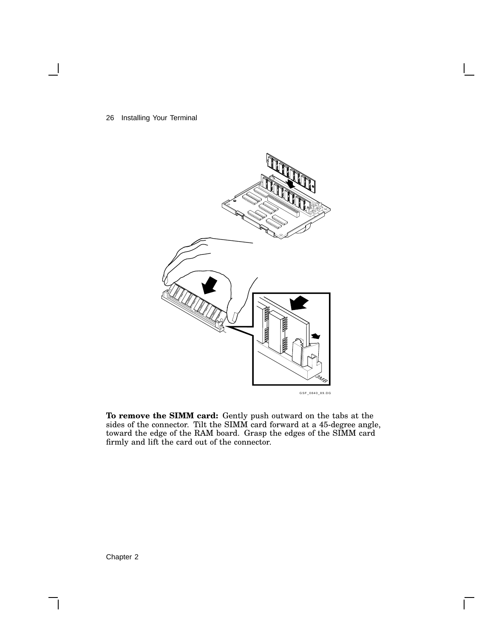

GSF\_0840\_89.DG

 $\bar{\mathsf{I}}$ 

**To remove the SIMM card:** Gently push outward on the tabs at the sides of the connector. Tilt the SIMM card forward at a 45-degree angle, toward the edge of the RAM board. Grasp the edges of the SIMM card firmly and lift the card out of the connector.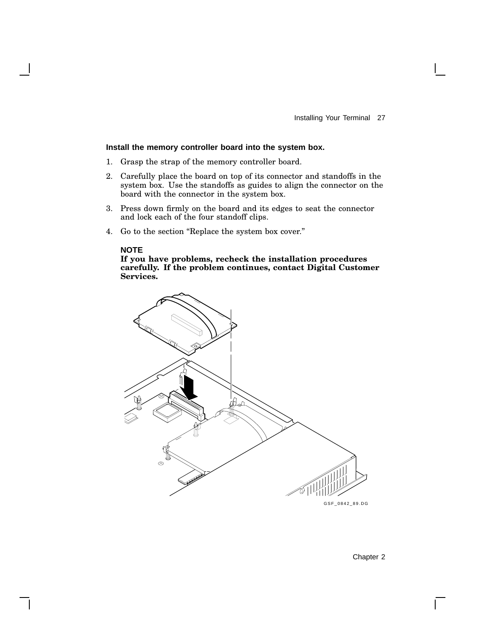### **Install the memory controller board into the system box.**

- 1. Grasp the strap of the memory controller board.
- 2. Carefully place the board on top of its connector and standoffs in the system box. Use the standoffs as guides to align the connector on the board with the connector in the system box.
- 3. Press down firmly on the board and its edges to seat the connector and lock each of the four standoff clips.
- 4. Go to the section ''Replace the system box cover.''

#### **NOTE**

**If you have problems, recheck the installation procedures carefully. If the problem continues, contact Digital Customer Services.**



Chapter 2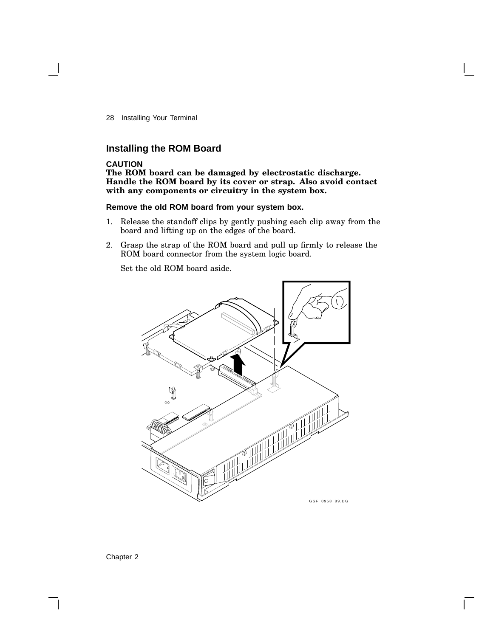### **Installing the ROM Board**

### **CAUTION**

**The ROM board can be damaged by electrostatic discharge. Handle the ROM board by its cover or strap. Also avoid contact with any components or circuitry in the system box.**

### **Remove the old ROM board from your system box.**

- 1. Release the standoff clips by gently pushing each clip away from the board and lifting up on the edges of the board.
- 2. Grasp the strap of the ROM board and pull up firmly to release the ROM board connector from the system logic board.

Set the old ROM board aside.

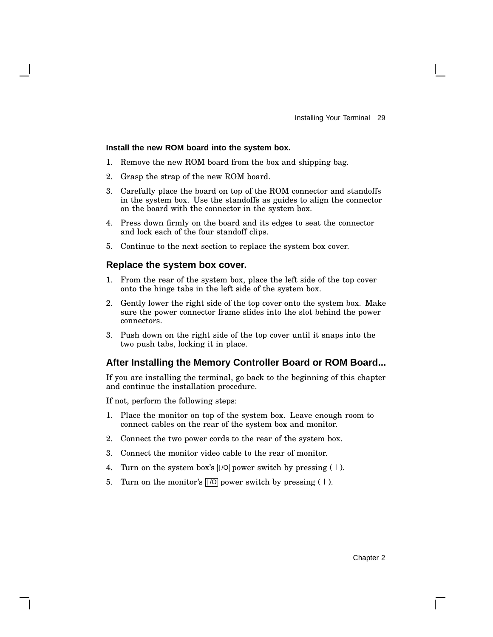### **Install the new ROM board into the system box.**

- 1. Remove the new ROM board from the box and shipping bag.
- 2. Grasp the strap of the new ROM board.
- 3. Carefully place the board on top of the ROM connector and standoffs in the system box. Use the standoffs as guides to align the connector on the board with the connector in the system box.
- 4. Press down firmly on the board and its edges to seat the connector and lock each of the four standoff clips.
- 5. Continue to the next section to replace the system box cover.

### **Replace the system box cover.**

- 1. From the rear of the system box, place the left side of the top cover onto the hinge tabs in the left side of the system box.
- 2. Gently lower the right side of the top cover onto the system box. Make sure the power connector frame slides into the slot behind the power connectors.
- 3. Push down on the right side of the top cover until it snaps into the two push tabs, locking it in place.

### **After Installing the Memory Controller Board or ROM Board...**

If you are installing the terminal, go back to the beginning of this chapter and continue the installation procedure.

If not, perform the following steps:

- 1. Place the monitor on top of the system box. Leave enough room to connect cables on the rear of the system box and monitor.
- 2. Connect the two power cords to the rear of the system box.
- 3. Connect the monitor video cable to the rear of monitor.
- 4. Turn on the system box's  $\sqrt{|O|}$  power switch by pressing (1).
- 5. Turn on the monitor's  $\overline{|||O|}$  power switch by pressing (1).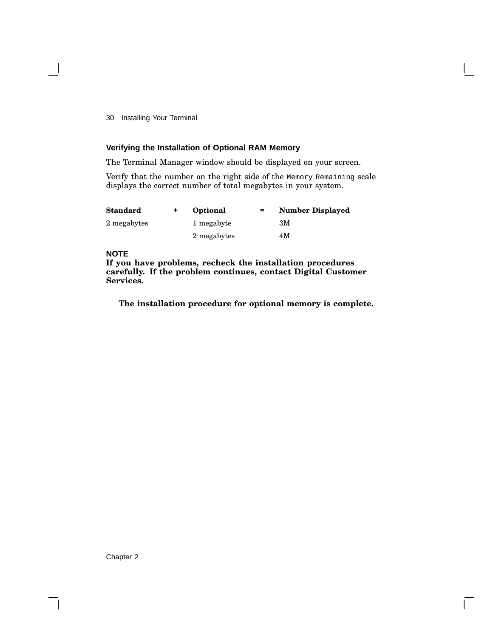### **Verifying the Installation of Optional RAM Memory**

The Terminal Manager window should be displayed on your screen.

Verify that the number on the right side of the Memory Remaining scale displays the correct number of total megabytes in your system.

| <b>Standard</b> | Optional    | $=$ | <b>Number Displayed</b> |
|-----------------|-------------|-----|-------------------------|
| 2 megabytes     | 1 megabyte  |     | ЗM                      |
|                 | 2 megabytes |     | 4M                      |

### **NOTE**

**If you have problems, recheck the installation procedures carefully. If the problem continues, contact Digital Customer Services.**

**The installation procedure for optional memory is complete.**